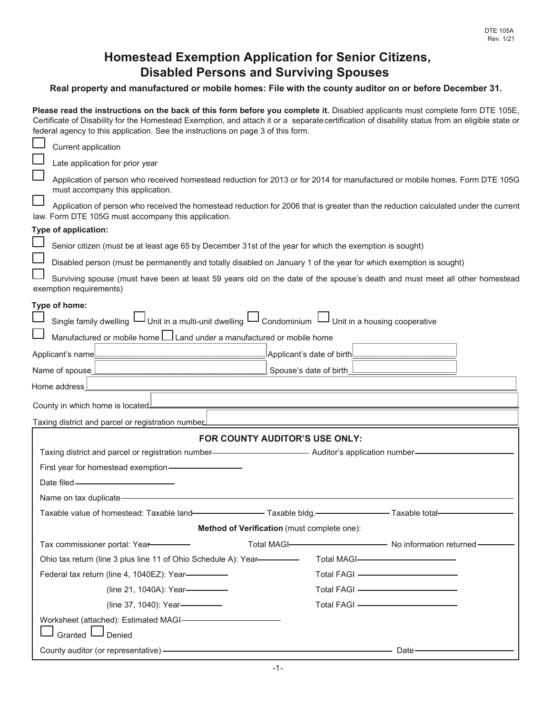## **Homestead Exemption Application for Senior Citizens, Disabled Persons and Surviving Spouses**

## **Real property and manufactured or mobile homes: File with the county auditor on or before December 31.**

Please read the instructions on the back of this form before you complete it. Disabled applicants must complete form DTE 105E, Certificate of Disability for the Homestead Exemption, and attach it or a separatecertification of disability status from an eligible state or

|                                                                                                                                                                 | federal agency to this application. See the instructions on page 3 of this form.                                                                                                           |                                          |                                                                                                                                                                                                                                               |  |  |  |  |
|-----------------------------------------------------------------------------------------------------------------------------------------------------------------|--------------------------------------------------------------------------------------------------------------------------------------------------------------------------------------------|------------------------------------------|-----------------------------------------------------------------------------------------------------------------------------------------------------------------------------------------------------------------------------------------------|--|--|--|--|
|                                                                                                                                                                 | Current application                                                                                                                                                                        |                                          |                                                                                                                                                                                                                                               |  |  |  |  |
|                                                                                                                                                                 | Late application for prior year                                                                                                                                                            |                                          |                                                                                                                                                                                                                                               |  |  |  |  |
| Application of person who received homestead reduction for 2013 or for 2014 for manufactured or mobile homes. Form DTE 105G<br>must accompany this application. |                                                                                                                                                                                            |                                          |                                                                                                                                                                                                                                               |  |  |  |  |
|                                                                                                                                                                 | Application of person who received the homestead reduction for 2006 that is greater than the reduction calculated under the current<br>law. Form DTE 105G must accompany this application. |                                          |                                                                                                                                                                                                                                               |  |  |  |  |
|                                                                                                                                                                 | Type of application:                                                                                                                                                                       |                                          |                                                                                                                                                                                                                                               |  |  |  |  |
|                                                                                                                                                                 | Senior citizen (must be at least age 65 by December 31st of the year for which the exemption is sought)                                                                                    |                                          |                                                                                                                                                                                                                                               |  |  |  |  |
| Disabled person (must be permanently and totally disabled on January 1 of the year for which exemption is sought)                                               |                                                                                                                                                                                            |                                          |                                                                                                                                                                                                                                               |  |  |  |  |
|                                                                                                                                                                 | Surviving spouse (must have been at least 59 years old on the date of the spouse's death and must meet all other homestead<br>exemption requirements)                                      |                                          |                                                                                                                                                                                                                                               |  |  |  |  |
|                                                                                                                                                                 | Type of home:                                                                                                                                                                              |                                          |                                                                                                                                                                                                                                               |  |  |  |  |
|                                                                                                                                                                 | Unit in a housing cooperative [10] Unit in a multi-unit dwelling [10] Single family dwelling Unit in a housing cooperative                                                                 |                                          |                                                                                                                                                                                                                                               |  |  |  |  |
|                                                                                                                                                                 | Manufactured or mobile home Lu Land under a manufactured or mobile home                                                                                                                    |                                          |                                                                                                                                                                                                                                               |  |  |  |  |
|                                                                                                                                                                 | Applicant's name                                                                                                                                                                           | $ $ Applicant's date of birth $ $        |                                                                                                                                                                                                                                               |  |  |  |  |
|                                                                                                                                                                 | Name of spouse                                                                                                                                                                             | Spouse's date of birth                   |                                                                                                                                                                                                                                               |  |  |  |  |
|                                                                                                                                                                 | Home address                                                                                                                                                                               |                                          |                                                                                                                                                                                                                                               |  |  |  |  |
|                                                                                                                                                                 | County in which home is located                                                                                                                                                            |                                          |                                                                                                                                                                                                                                               |  |  |  |  |
|                                                                                                                                                                 | Taxing district and parcel or registration numbe∟                                                                                                                                          |                                          |                                                                                                                                                                                                                                               |  |  |  |  |
|                                                                                                                                                                 | FOR COUNTY AUDITOR'S USE ONLY:                                                                                                                                                             |                                          |                                                                                                                                                                                                                                               |  |  |  |  |
|                                                                                                                                                                 | Taxing district and parcel or registration number-<br><b>Example 2018</b> 2019 - Auditor's application number-                                                                             |                                          |                                                                                                                                                                                                                                               |  |  |  |  |
|                                                                                                                                                                 | First year for homestead exemption-                                                                                                                                                        |                                          |                                                                                                                                                                                                                                               |  |  |  |  |
|                                                                                                                                                                 | Date filed -                                                                                                                                                                               |                                          |                                                                                                                                                                                                                                               |  |  |  |  |
|                                                                                                                                                                 | Name on tax duplicate-                                                                                                                                                                     |                                          |                                                                                                                                                                                                                                               |  |  |  |  |
|                                                                                                                                                                 | Taxable value of homestead: Taxable land-                                                                                                                                                  | Taxable bldg. Taxable and Taxable total- |                                                                                                                                                                                                                                               |  |  |  |  |
|                                                                                                                                                                 | Method of Verification (must complete one):                                                                                                                                                |                                          |                                                                                                                                                                                                                                               |  |  |  |  |
|                                                                                                                                                                 | Tax commissioner portal: Year-                                                                                                                                                             |                                          | Total MAGI-<br>Total MAGI-<br>Total MAGI-<br>Total MAGI-<br>Total MAGI-<br>Total MAGI-<br>Total MAGI-<br>Total MAGI-<br>Total Magnus Magnus Magnus Magnus Magnus Magnus Magnus Magnus Magnus Magnus Magnus Magnus Magnus Magnus Magnus Magnus |  |  |  |  |
|                                                                                                                                                                 | Ohio tax return (line 3 plus line 11 of Ohio Schedule A): Year-                                                                                                                            |                                          | Total MAGI-                                                                                                                                                                                                                                   |  |  |  |  |
|                                                                                                                                                                 | Federal tax return (line 4, 1040EZ): Year-                                                                                                                                                 |                                          | Total FAGI - The Content of The Content of The Content of The Content of The Content of The Content of The Content of The Content of The Content of The Content of The Content of The Content of The Content of The Content of                |  |  |  |  |
|                                                                                                                                                                 | (line 21, 1040A): Year-                                                                                                                                                                    |                                          | Total FAGI - The Contract of Total FAGI - The Contract of Total District of Total District Orange                                                                                                                                             |  |  |  |  |
|                                                                                                                                                                 | (line 37, 1040): Year-                                                                                                                                                                     |                                          | Total FAGI - The Contract of Total FAGI - The Contract of Total Total Text of Total Text of Total Text of Total Text of Total Text of Total Text of Total Text of Total Text of Total Text of Text of Text of Text of Text of                 |  |  |  |  |
|                                                                                                                                                                 | Worksheet (attached): Estimated MAGI-                                                                                                                                                      |                                          |                                                                                                                                                                                                                                               |  |  |  |  |
|                                                                                                                                                                 | J Denied<br>Granted                                                                                                                                                                        |                                          |                                                                                                                                                                                                                                               |  |  |  |  |
|                                                                                                                                                                 | County auditor (or representative) -                                                                                                                                                       |                                          | Date-                                                                                                                                                                                                                                         |  |  |  |  |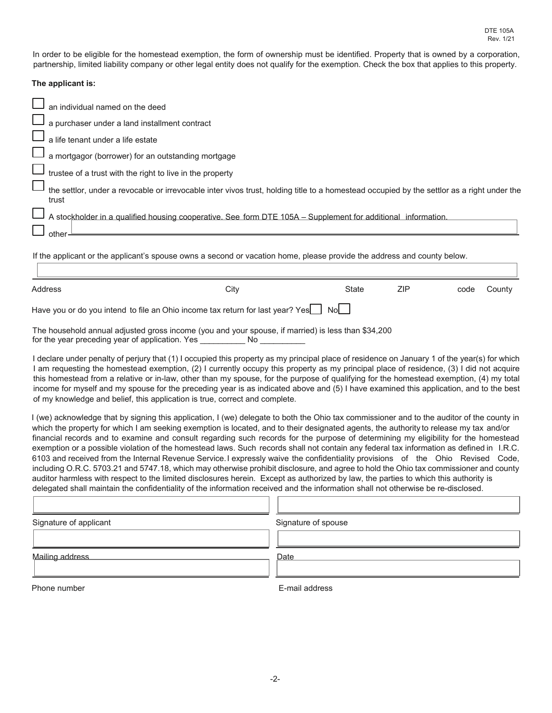In order to be eligible for the homestead exemption, the form of ownership must be identified. Property that is owned by a corporation, partnership, limited liability company or other legal entity does not qualify for the exemption. Check the box that applies to this property.

## **The applicant is:**

| an individual named on the deed                                                                                                                     |
|-----------------------------------------------------------------------------------------------------------------------------------------------------|
| a purchaser under a land installment contract                                                                                                       |
| $\mathord{\rightharpoonup}$ a life tenant under a life estate                                                                                       |
| a mortgagor (borrower) for an outstanding mortgage                                                                                                  |
| $\mathsf{\mathsf{I}}$ trustee of a trust with the right to live in the property                                                                     |
| the settlor, under a revocable or irrevocable inter vivos trust, holding title to a homestead occupied by the settlor as a right under the<br>trust |
| A stockholder in a qualified housing cooperative. See form DTE 105A – Supplement for additional information.                                        |
| other<br>If the applicant or the applicant's spouse owns a second or vacation home, please provide the address and county below.                    |
|                                                                                                                                                     |

| Address                                                                                                                                                      | City | State | ZIP | code | County |  |  |
|--------------------------------------------------------------------------------------------------------------------------------------------------------------|------|-------|-----|------|--------|--|--|
| Have you or do you intend to file an Ohio income tax return for last year? Yes $\Box$ No $\Box$                                                              |      |       |     |      |        |  |  |
| The household annual adjusted gross income (you and your spouse, if married) is less than \$34,200<br>for the year preceding year of application. Yes<br>No. |      |       |     |      |        |  |  |

I declare under penalty of perjury that (1) I occupied this property as my principal place of residence on January 1 of the year(s) for which I am requesting the homestead exemption, (2) I currently occupy this property as my principal place of residence, (3) I did not acquire this homestead from a relative or in-law, other than my spouse, for the purpose of qualifying for the homestead exemption, (4) my total income for myself and my spouse for the preceding year is as indicated above and (5) I have examined this application, and to the best of my knowledge and belief, this application is true, correct and complete.

I (we) acknowledge that by signing this application, I (we) delegate to both the Ohio tax commissioner and to the auditor of the county in which the property for which I am seeking exemption is located, and to their designated agents, the authority to release my tax and/or financial records and to examine and consult regarding such records for the purpose of determining my eligibility for the homestead exemption or a possible violation of the homestead laws. Such records shall not contain any federal tax information as defined in I.R.C. 6103 and received from the Internal Revenue Service.I expressly waive the confidentiality provisions of the Ohio Revised Code, including O.R.C. 5703.21 and 5747.18, which may otherwise prohibit disclosure, and agree to hold the Ohio tax commissioner and county auditor harmless with respect to the limited disclosures herein. Except as authorized by law, the parties to which this authority is delegated shall maintain the confidentiality of the information received and the information shall not otherwise be re-disclosed.

| Signature of applicant | Signature of spouse |  |  |
|------------------------|---------------------|--|--|
|                        |                     |  |  |
| Mailing address        | Date                |  |  |
|                        |                     |  |  |
| Phone number           | E-mail address      |  |  |

ת ר